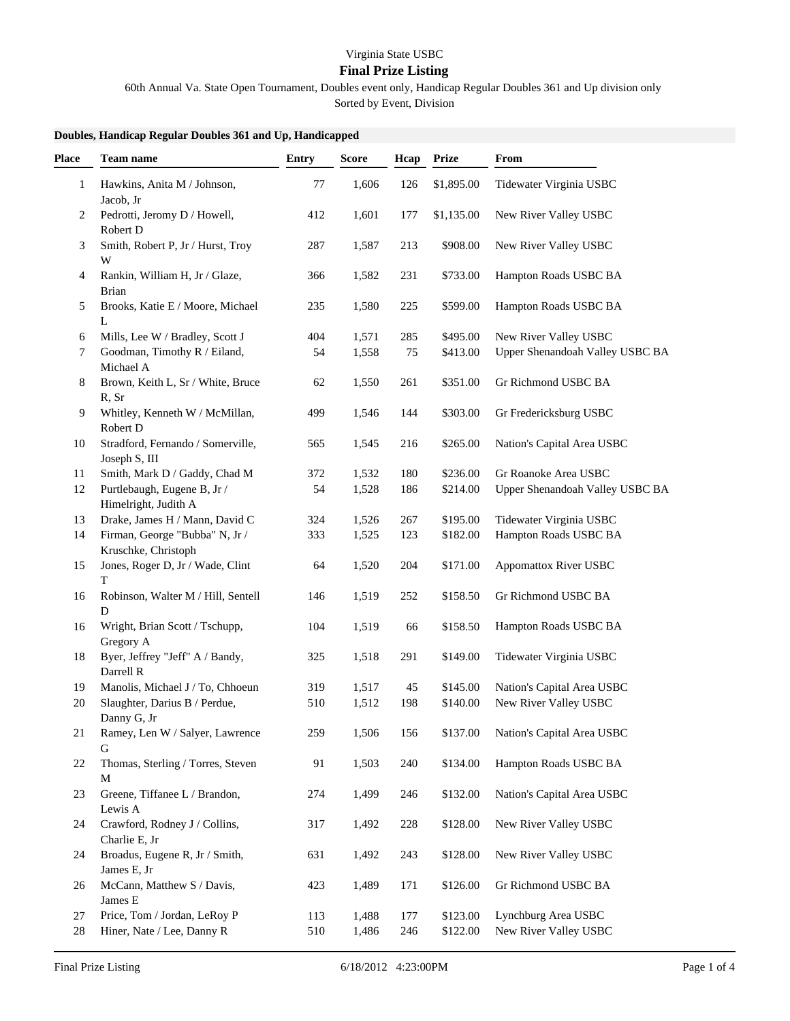## Virginia State USBC

## **Final Prize Listing**

60th Annual Va. State Open Tournament, Doubles event only, Handicap Regular Doubles 361 and Up division only

Sorted by Event, Division

## **Doubles, Handicap Regular Doubles 361 and Up, Handicapped**

| <b>Place</b> | <b>Team name</b>                                      | <b>Entry</b> | <b>Score</b> | Hcap | <b>Prize</b> | From                            |
|--------------|-------------------------------------------------------|--------------|--------------|------|--------------|---------------------------------|
| 1            | Hawkins, Anita M / Johnson,<br>Jacob, Jr              | 77           | 1,606        | 126  | \$1,895.00   | Tidewater Virginia USBC         |
| 2            | Pedrotti, Jeromy D / Howell,<br>Robert D              | 412          | 1,601        | 177  | \$1,135.00   | New River Valley USBC           |
| 3            | Smith, Robert P, Jr / Hurst, Troy<br>W                | 287          | 1,587        | 213  | \$908.00     | New River Valley USBC           |
| 4            | Rankin, William H, Jr / Glaze,<br><b>Brian</b>        | 366          | 1,582        | 231  | \$733.00     | Hampton Roads USBC BA           |
| 5            | Brooks, Katie E / Moore, Michael<br>L                 | 235          | 1,580        | 225  | \$599.00     | Hampton Roads USBC BA           |
| 6            | Mills, Lee W / Bradley, Scott J                       | 404          | 1,571        | 285  | \$495.00     | New River Valley USBC           |
| 7            | Goodman, Timothy R / Eiland,<br>Michael A             | 54           | 1,558        | 75   | \$413.00     | Upper Shenandoah Valley USBC BA |
| 8            | Brown, Keith L, Sr / White, Bruce<br>R, Sr            | 62           | 1,550        | 261  | \$351.00     | Gr Richmond USBC BA             |
| 9            | Whitley, Kenneth W / McMillan,<br>Robert D            | 499          | 1,546        | 144  | \$303.00     | Gr Fredericksburg USBC          |
| 10           | Stradford, Fernando / Somerville,<br>Joseph S, III    | 565          | 1,545        | 216  | \$265.00     | Nation's Capital Area USBC      |
| 11           | Smith, Mark D / Gaddy, Chad M                         | 372          | 1,532        | 180  | \$236.00     | Gr Roanoke Area USBC            |
| 12           | Purtlebaugh, Eugene B, Jr /<br>Himelright, Judith A   | 54           | 1,528        | 186  | \$214.00     | Upper Shenandoah Valley USBC BA |
| 13           | Drake, James H / Mann, David C                        | 324          | 1,526        | 267  | \$195.00     | Tidewater Virginia USBC         |
| 14           | Firman, George "Bubba" N, Jr /<br>Kruschke, Christoph | 333          | 1,525        | 123  | \$182.00     | Hampton Roads USBC BA           |
| 15           | Jones, Roger D, Jr / Wade, Clint<br>T                 | 64           | 1,520        | 204  | \$171.00     | Appomattox River USBC           |
| 16           | Robinson, Walter M / Hill, Sentell<br>D               | 146          | 1,519        | 252  | \$158.50     | Gr Richmond USBC BA             |
| 16           | Wright, Brian Scott / Tschupp,<br>Gregory A           | 104          | 1,519        | 66   | \$158.50     | Hampton Roads USBC BA           |
| 18           | Byer, Jeffrey "Jeff" A / Bandy,<br>Darrell R          | 325          | 1,518        | 291  | \$149.00     | Tidewater Virginia USBC         |
| 19           | Manolis, Michael J / To, Chhoeun                      | 319          | 1,517        | 45   | \$145.00     | Nation's Capital Area USBC      |
| 20           | Slaughter, Darius B / Perdue,<br>Danny G, Jr          | 510          | 1,512        | 198  | \$140.00     | New River Valley USBC           |
| 21           | Ramey, Len W / Salyer, Lawrence<br>G                  | 259          | 1,506        | 156  | \$137.00     | Nation's Capital Area USBC      |
| 22           | Thomas, Sterling / Torres, Steven<br>M                | 91           | 1,503        | 240  | \$134.00     | Hampton Roads USBC BA           |
| 23           | Greene, Tiffanee L / Brandon,<br>Lewis A              | 274          | 1,499        | 246  | \$132.00     | Nation's Capital Area USBC      |
| 24           | Crawford, Rodney J / Collins,<br>Charlie E, Jr        | 317          | 1,492        | 228  | \$128.00     | New River Valley USBC           |
| 24           | Broadus, Eugene R, Jr / Smith,<br>James E, Jr         | 631          | 1,492        | 243  | \$128.00     | New River Valley USBC           |
| 26           | McCann, Matthew S / Davis,<br>James E                 | 423          | 1,489        | 171  | \$126.00     | Gr Richmond USBC BA             |
| 27           | Price, Tom / Jordan, LeRoy P                          | 113          | 1,488        | 177  | \$123.00     | Lynchburg Area USBC             |
| $28\,$       | Hiner, Nate / Lee, Danny R                            | 510          | 1,486        | 246  | \$122.00     | New River Valley USBC           |
|              |                                                       |              |              |      |              |                                 |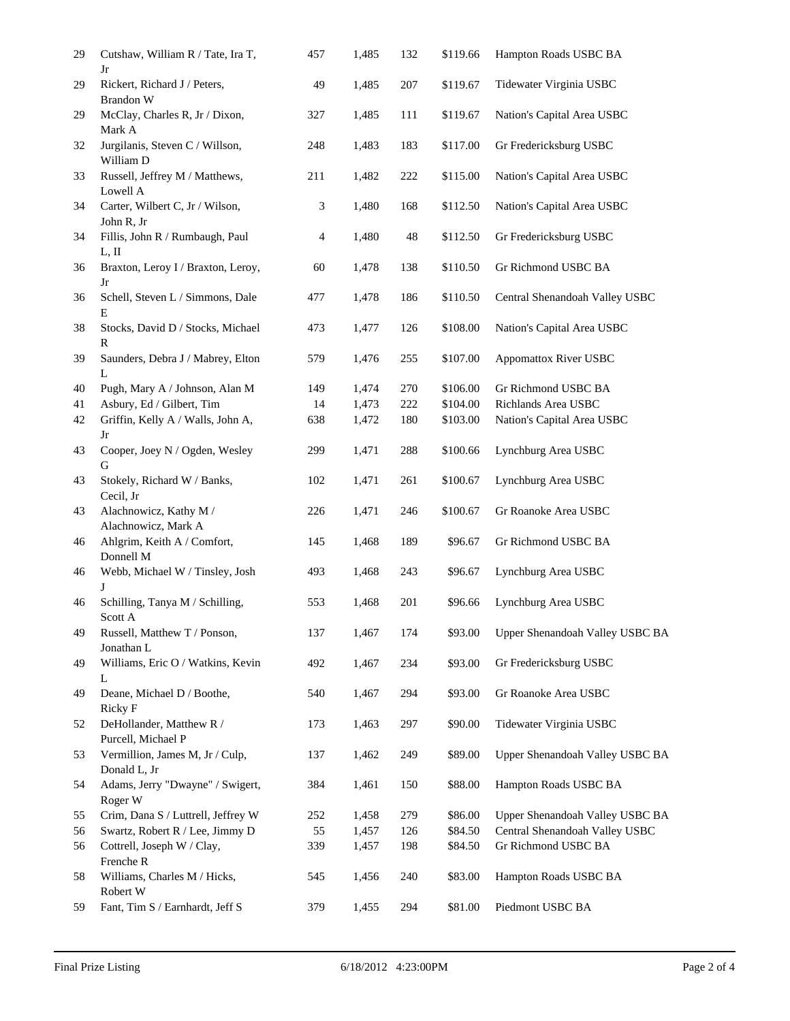| 29 | Cutshaw, William R / Tate, Ira T,<br>Jr         | 457 | 1,485 | 132 | \$119.66 | Hampton Roads USBC BA           |
|----|-------------------------------------------------|-----|-------|-----|----------|---------------------------------|
| 29 | Rickert, Richard J / Peters,<br>Brandon W       | 49  | 1,485 | 207 | \$119.67 | Tidewater Virginia USBC         |
| 29 | McClay, Charles R, Jr / Dixon,<br>Mark A        | 327 | 1,485 | 111 | \$119.67 | Nation's Capital Area USBC      |
| 32 | Jurgilanis, Steven C / Willson,<br>William D    | 248 | 1,483 | 183 | \$117.00 | Gr Fredericksburg USBC          |
| 33 | Russell, Jeffrey M / Matthews,<br>Lowell A      | 211 | 1,482 | 222 | \$115.00 | Nation's Capital Area USBC      |
| 34 | Carter, Wilbert C, Jr / Wilson,<br>John R, Jr   | 3   | 1,480 | 168 | \$112.50 | Nation's Capital Area USBC      |
| 34 | Fillis, John R / Rumbaugh, Paul<br>L, II        | 4   | 1,480 | 48  | \$112.50 | Gr Fredericksburg USBC          |
| 36 | Braxton, Leroy I / Braxton, Leroy,<br>Jr        | 60  | 1,478 | 138 | \$110.50 | Gr Richmond USBC BA             |
| 36 | Schell, Steven L / Simmons, Dale<br>E           | 477 | 1,478 | 186 | \$110.50 | Central Shenandoah Valley USBC  |
| 38 | Stocks, David D / Stocks, Michael<br>R          | 473 | 1,477 | 126 | \$108.00 | Nation's Capital Area USBC      |
| 39 | Saunders, Debra J / Mabrey, Elton<br>L          | 579 | 1,476 | 255 | \$107.00 | <b>Appomattox River USBC</b>    |
| 40 | Pugh, Mary A / Johnson, Alan M                  | 149 | 1,474 | 270 | \$106.00 | Gr Richmond USBC BA             |
| 41 | Asbury, Ed / Gilbert, Tim                       | 14  | 1,473 | 222 | \$104.00 | Richlands Area USBC             |
| 42 | Griffin, Kelly A / Walls, John A,<br>Jr         | 638 | 1,472 | 180 | \$103.00 | Nation's Capital Area USBC      |
| 43 | Cooper, Joey N / Ogden, Wesley<br>G             | 299 | 1,471 | 288 | \$100.66 | Lynchburg Area USBC             |
| 43 | Stokely, Richard W / Banks,<br>Cecil, Jr        | 102 | 1,471 | 261 | \$100.67 | Lynchburg Area USBC             |
| 43 | Alachnowicz, Kathy M /<br>Alachnowicz, Mark A   | 226 | 1,471 | 246 | \$100.67 | Gr Roanoke Area USBC            |
| 46 | Ahlgrim, Keith A / Comfort,<br>Donnell M        | 145 | 1,468 | 189 | \$96.67  | Gr Richmond USBC BA             |
| 46 | Webb, Michael W / Tinsley, Josh<br>J            | 493 | 1,468 | 243 | \$96.67  | Lynchburg Area USBC             |
| 46 | Schilling, Tanya M / Schilling,<br>Scott A      | 553 | 1,468 | 201 | \$96.66  | Lynchburg Area USBC             |
| 49 | Russell, Matthew T / Ponson,<br>Jonathan L      | 137 | 1,467 | 174 | \$93.00  | Upper Shenandoah Valley USBC BA |
| 49 | Williams, Eric O / Watkins, Kevin<br>L          | 492 | 1,467 | 234 | \$93.00  | Gr Fredericksburg USBC          |
| 49 | Deane, Michael D / Boothe,<br>Ricky F           | 540 | 1,467 | 294 | \$93.00  | Gr Roanoke Area USBC            |
| 52 | DeHollander, Matthew R /<br>Purcell, Michael P  | 173 | 1,463 | 297 | \$90.00  | Tidewater Virginia USBC         |
| 53 | Vermillion, James M, Jr / Culp,<br>Donald L, Jr | 137 | 1,462 | 249 | \$89.00  | Upper Shenandoah Valley USBC BA |
| 54 | Adams, Jerry "Dwayne" / Swigert,<br>Roger W     | 384 | 1,461 | 150 | \$88.00  | Hampton Roads USBC BA           |
| 55 | Crim, Dana S / Luttrell, Jeffrey W              | 252 | 1,458 | 279 | \$86.00  | Upper Shenandoah Valley USBC BA |
| 56 | Swartz, Robert R / Lee, Jimmy D                 | 55  | 1,457 | 126 | \$84.50  | Central Shenandoah Valley USBC  |
| 56 | Cottrell, Joseph W / Clay,<br>Frenche R         | 339 | 1,457 | 198 | \$84.50  | Gr Richmond USBC BA             |
| 58 | Williams, Charles M / Hicks,<br>Robert W        | 545 | 1,456 | 240 | \$83.00  | Hampton Roads USBC BA           |
| 59 | Fant, Tim S / Earnhardt, Jeff S                 | 379 | 1,455 | 294 | \$81.00  | Piedmont USBC BA                |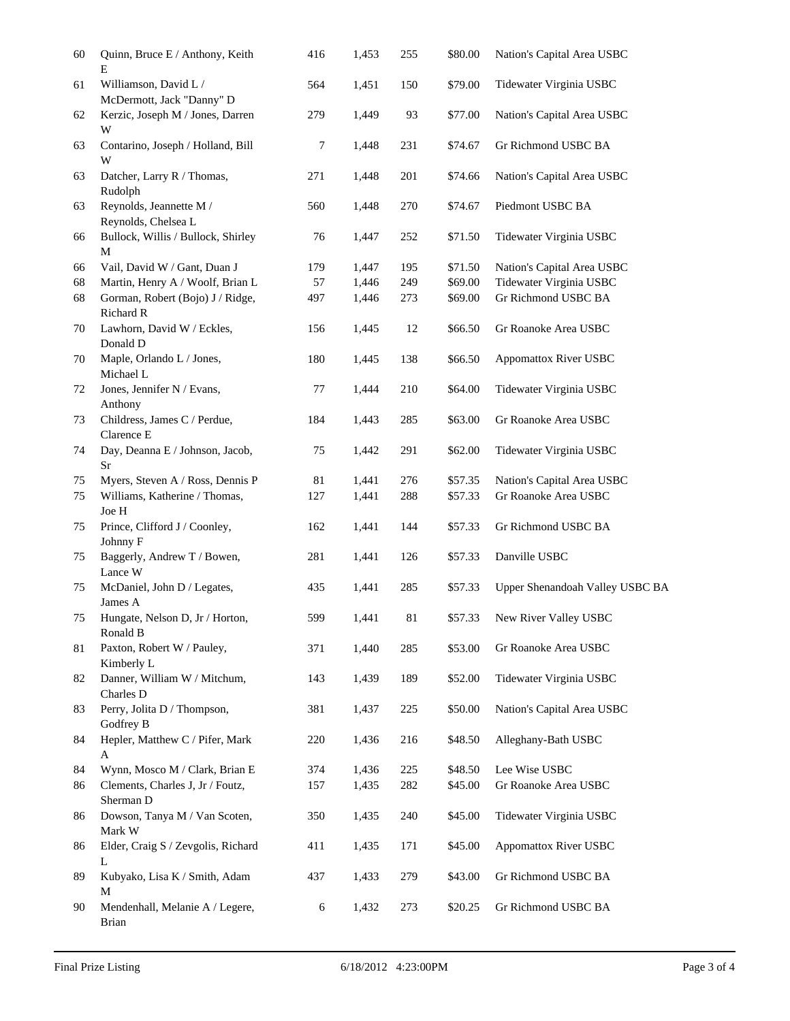| 60       | Quinn, Bruce E / Anthony, Keith<br>E                                     | 416        | 1,453          | 255        | \$80.00            | Nation's Capital Area USBC                      |
|----------|--------------------------------------------------------------------------|------------|----------------|------------|--------------------|-------------------------------------------------|
| 61       | Williamson, David L /<br>McDermott, Jack "Danny" D                       | 564        | 1,451          | 150        | \$79.00            | Tidewater Virginia USBC                         |
| 62       | Kerzic, Joseph M / Jones, Darren<br>W                                    | 279        | 1,449          | 93         | \$77.00            | Nation's Capital Area USBC                      |
| 63       | Contarino, Joseph / Holland, Bill<br>W                                   | 7          | 1,448          | 231        | \$74.67            | Gr Richmond USBC BA                             |
| 63       | Datcher, Larry R / Thomas,<br>Rudolph                                    | 271        | 1,448          | 201        | \$74.66            | Nation's Capital Area USBC                      |
| 63       | Reynolds, Jeannette M /<br>Reynolds, Chelsea L                           | 560        | 1,448          | 270        | \$74.67            | Piedmont USBC BA                                |
| 66       | Bullock, Willis / Bullock, Shirley<br>M                                  | 76         | 1,447          | 252        | \$71.50            | Tidewater Virginia USBC                         |
| 66       | Vail, David W / Gant, Duan J                                             | 179        | 1,447          | 195        | \$71.50            | Nation's Capital Area USBC                      |
| 68       | Martin, Henry A / Woolf, Brian L                                         | 57         | 1,446          | 249        | \$69.00            | Tidewater Virginia USBC                         |
| 68       | Gorman, Robert (Bojo) J / Ridge,<br>Richard R                            | 497        | 1,446          | 273        | \$69.00            | Gr Richmond USBC BA                             |
| 70       | Lawhorn, David W / Eckles,<br>Donald D                                   | 156        | 1,445          | 12         | \$66.50            | Gr Roanoke Area USBC                            |
| 70       | Maple, Orlando L / Jones,<br>Michael L                                   | 180        | 1,445          | 138        | \$66.50            | <b>Appomattox River USBC</b>                    |
| 72       | Jones, Jennifer N / Evans,<br>Anthony                                    | 77         | 1,444          | 210        | \$64.00            | Tidewater Virginia USBC                         |
| 73       | Childress, James C / Perdue,<br>Clarence E                               | 184        | 1,443          | 285        | \$63.00            | Gr Roanoke Area USBC                            |
| 74       | Day, Deanna E / Johnson, Jacob,<br>Sr                                    | 75         | 1,442          | 291        | \$62.00            | Tidewater Virginia USBC                         |
| 75       | Myers, Steven A / Ross, Dennis P                                         | $81\,$     | 1,441          | 276        | \$57.35            | Nation's Capital Area USBC                      |
| 75       | Williams, Katherine / Thomas,<br>Joe H                                   | 127        | 1,441          | 288        | \$57.33            | Gr Roanoke Area USBC                            |
| 75       | Prince, Clifford J / Coonley,<br>Johnny F                                | 162        | 1,441          | 144        | \$57.33            | Gr Richmond USBC BA                             |
| 75       | Baggerly, Andrew T / Bowen,<br>Lance W                                   | 281        | 1,441          | 126        | \$57.33            | Danville USBC                                   |
| 75       | McDaniel, John D / Legates,<br>James A                                   | 435        | 1,441          | 285        | \$57.33            | Upper Shenandoah Valley USBC BA                 |
| 75<br>81 | Hungate, Nelson D, Jr / Horton,<br>Ronald B                              | 599        | 1,441          | 81         |                    | \$57.33 New River Valley USBC                   |
| 82       | Paxton, Robert W / Pauley,<br>Kimberly L<br>Danner, William W / Mitchum, | 371<br>143 | 1,440<br>1,439 | 285<br>189 | \$53.00<br>\$52.00 | Gr Roanoke Area USBC<br>Tidewater Virginia USBC |
| 83       | Charles D<br>Perry, Jolita D / Thompson,                                 | 381        | 1,437          | 225        | \$50.00            | Nation's Capital Area USBC                      |
| 84       | Godfrey B<br>Hepler, Matthew C / Pifer, Mark                             | 220        | 1,436          | 216        | \$48.50            | Alleghany-Bath USBC                             |
| 84       | A<br>Wynn, Mosco M / Clark, Brian E                                      | 374        | 1,436          | 225        | \$48.50            | Lee Wise USBC                                   |
| 86       | Clements, Charles J, Jr / Foutz,                                         | 157        | 1,435          | 282        | \$45.00            | Gr Roanoke Area USBC                            |
| 86       | Sherman D<br>Dowson, Tanya M / Van Scoten,                               | 350        | 1,435          | 240        | \$45.00            | Tidewater Virginia USBC                         |
| 86       | Mark W<br>Elder, Craig S / Zevgolis, Richard                             | 411        | 1,435          | 171        | \$45.00            | Appomattox River USBC                           |
| 89       | L<br>Kubyako, Lisa K / Smith, Adam                                       | 437        | 1,433          | 279        | \$43.00            | Gr Richmond USBC BA                             |
| 90       | М<br>Mendenhall, Melanie A / Legere,                                     | 6          | 1,432          | 273        | \$20.25            | Gr Richmond USBC BA                             |
|          | <b>Brian</b>                                                             |            |                |            |                    |                                                 |